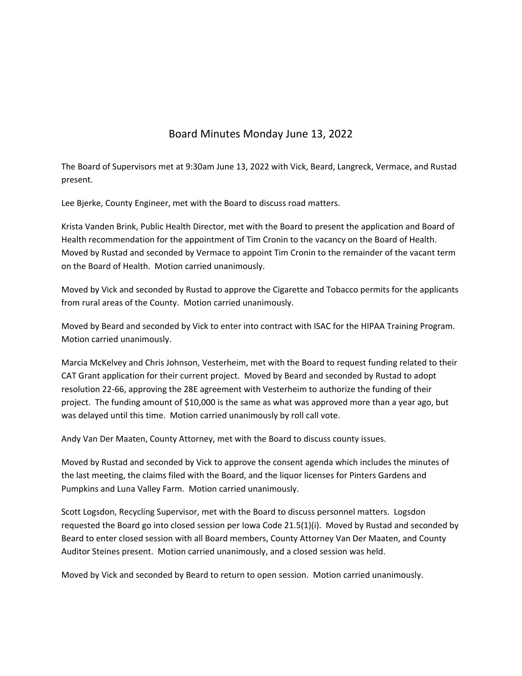## Board Minutes Monday June 13, 2022

The Board of Supervisors met at 9:30am June 13, 2022 with Vick, Beard, Langreck, Vermace, and Rustad present.

Lee Bjerke, County Engineer, met with the Board to discuss road matters.

Krista Vanden Brink, Public Health Director, met with the Board to present the application and Board of Health recommendation for the appointment of Tim Cronin to the vacancy on the Board of Health. Moved by Rustad and seconded by Vermace to appoint Tim Cronin to the remainder of the vacant term on the Board of Health. Motion carried unanimously.

Moved by Vick and seconded by Rustad to approve the Cigarette and Tobacco permits for the applicants from rural areas of the County. Motion carried unanimously.

Moved by Beard and seconded by Vick to enter into contract with ISAC for the HIPAA Training Program. Motion carried unanimously.

Marcia McKelvey and Chris Johnson, Vesterheim, met with the Board to request funding related to their CAT Grant application for their current project. Moved by Beard and seconded by Rustad to adopt resolution 22‐66, approving the 28E agreement with Vesterheim to authorize the funding of their project. The funding amount of \$10,000 is the same as what was approved more than a year ago, but was delayed until this time. Motion carried unanimously by roll call vote.

Andy Van Der Maaten, County Attorney, met with the Board to discuss county issues.

Moved by Rustad and seconded by Vick to approve the consent agenda which includes the minutes of the last meeting, the claims filed with the Board, and the liquor licenses for Pinters Gardens and Pumpkins and Luna Valley Farm. Motion carried unanimously.

Scott Logsdon, Recycling Supervisor, met with the Board to discuss personnel matters. Logsdon requested the Board go into closed session per Iowa Code 21.5(1)(i). Moved by Rustad and seconded by Beard to enter closed session with all Board members, County Attorney Van Der Maaten, and County Auditor Steines present. Motion carried unanimously, and a closed session was held.

Moved by Vick and seconded by Beard to return to open session. Motion carried unanimously.